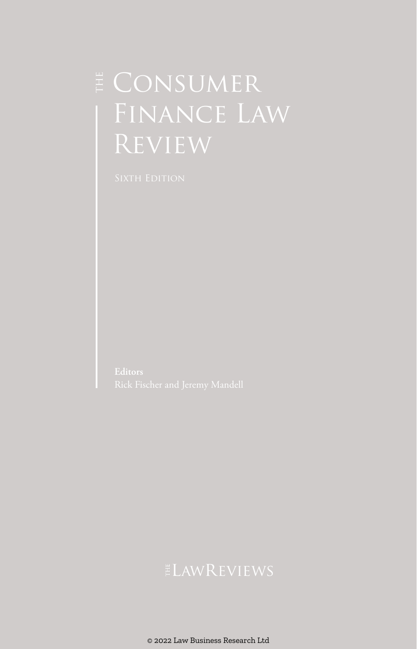## $\sharp$  CONSUMER Finance Law Review

© 2022 Law Business Research Ltd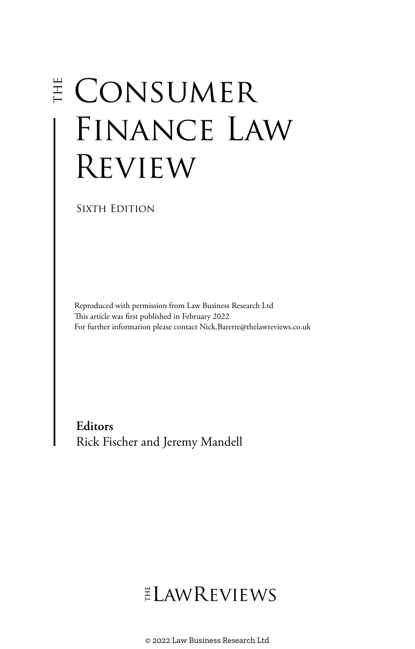# $E$  CONSUMER FINANCE LAW **REVIEW**

SIXTH EDITION

Reproduced with permission from Law Business Research Ltd This article was first published in February 2022 For further information please contact Nick.Barette@thelawreviews.co.uk

**Editors** Rick Fischer and Jeremy Mandell

## ELAWREVIEWS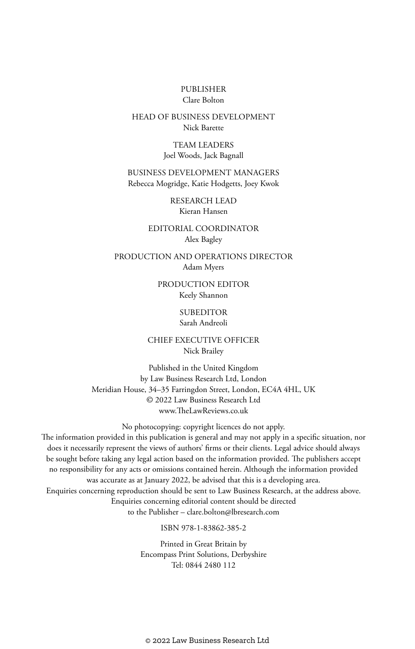#### PUBLISHER Clare Bolton

#### HEAD OF BUSINESS DEVELOPMENT Nick Barette

TEAM LEADERS Joel Woods, Jack Bagnall

BUSINESS DEVELOPMENT MANAGERS Rebecca Mogridge, Katie Hodgetts, Joey Kwok

> RESEARCH LEAD Kieran Hansen

EDITORIAL COORDINATOR Alex Bagley

PRODUCTION AND OPERATIONS DIRECTOR Adam Myers

> PRODUCTION EDITOR Keely Shannon

#### **SUBEDITOR** Sarah Andreoli

CHIEF EXECUTIVE OFFICER Nick Brailey

Published in the United Kingdom by Law Business Research Ltd, London Meridian House, 34–35 Farringdon Street, London, EC4A 4HL, UK © 2022 Law Business Research Ltd www.TheLawReviews.co.uk

No photocopying: copyright licences do not apply. The information provided in this publication is general and may not apply in a specific situation, nor does it necessarily represent the views of authors' firms or their clients. Legal advice should always be sought before taking any legal action based on the information provided. The publishers accept no responsibility for any acts or omissions contained herein. Although the information provided was accurate as at January 2022, be advised that this is a developing area. Enquiries concerning reproduction should be sent to Law Business Research, at the address above. Enquiries concerning editorial content should be directed to the Publisher – clare.bolton@lbresearch.com

ISBN 978-1-83862-385-2

Printed in Great Britain by Encompass Print Solutions, Derbyshire Tel: 0844 2480 112

© 2022 Law Business Research Ltd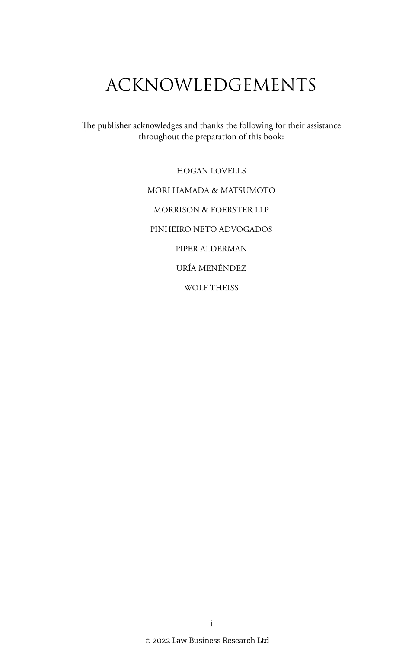## ACKNOWLEDGEMENTS

The publisher acknowledges and thanks the following for their assistance throughout the preparation of this book:

> HOGAN LOVELLS MORI HAMADA & MATSUMOTO MORRISON & FOERSTER LLP PINHEIRO NETO ADVOGADOS PIPER ALDERMAN URÍA MENÉNDEZ WOLF THEISS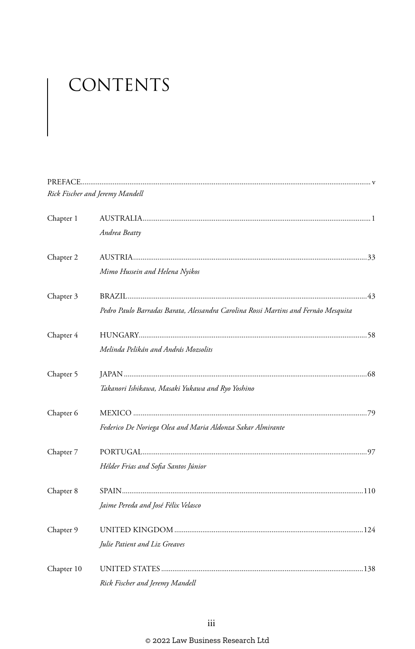# CONTENTS

|            | Rick Fischer and Jeremy Mandell                                                    |
|------------|------------------------------------------------------------------------------------|
| Chapter 1  |                                                                                    |
|            | Andrea Beatty                                                                      |
| Chapter 2  |                                                                                    |
|            | Mimo Hussein and Helena Nyikos                                                     |
| Chapter 3  |                                                                                    |
|            | Pedro Paulo Barradas Barata, Alessandra Carolina Rossi Martins and Fernão Mesquita |
| Chapter 4  |                                                                                    |
|            | Melinda Pelikán and András Mozsolits                                               |
| Chapter 5  |                                                                                    |
|            | Takanori Ishikawa, Masaki Yukawa and Ryo Yoshino                                   |
| Chapter 6  |                                                                                    |
|            | Federico De Noriega Olea and Maria Aldonza Sakar Almirante                         |
| Chapter 7  |                                                                                    |
|            | Hélder Frias and Sofia Santos Júnior                                               |
| Chapter 8  |                                                                                    |
|            | Jaime Pereda and José Félix Velasco                                                |
| Chapter 9  |                                                                                    |
|            | Julie Patient and Liz Greaves                                                      |
| Chapter 10 |                                                                                    |
|            | Rick Fischer and Jeremy Mandell                                                    |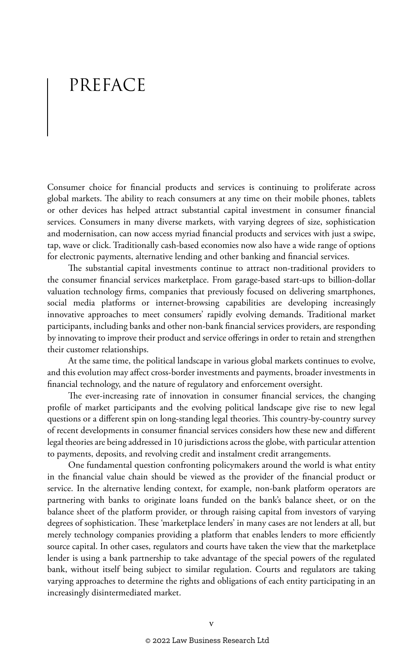## PREFACE

Consumer choice for financial products and services is continuing to proliferate across global markets. The ability to reach consumers at any time on their mobile phones, tablets or other devices has helped attract substantial capital investment in consumer financial services. Consumers in many diverse markets, with varying degrees of size, sophistication and modernisation, can now access myriad financial products and services with just a swipe, tap, wave or click. Traditionally cash-based economies now also have a wide range of options for electronic payments, alternative lending and other banking and financial services.

The substantial capital investments continue to attract non-traditional providers to the consumer financial services marketplace. From garage-based start-ups to billion-dollar valuation technology firms, companies that previously focused on delivering smartphones, social media platforms or internet-browsing capabilities are developing increasingly innovative approaches to meet consumers' rapidly evolving demands. Traditional market participants, including banks and other non-bank financial services providers, are responding by innovating to improve their product and service offerings in order to retain and strengthen their customer relationships.

At the same time, the political landscape in various global markets continues to evolve, and this evolution may affect cross-border investments and payments, broader investments in financial technology, and the nature of regulatory and enforcement oversight.

The ever-increasing rate of innovation in consumer financial services, the changing profile of market participants and the evolving political landscape give rise to new legal questions or a different spin on long-standing legal theories. This country-by-country survey of recent developments in consumer financial services considers how these new and different legal theories are being addressed in 10 jurisdictions across the globe, with particular attention to payments, deposits, and revolving credit and instalment credit arrangements.

One fundamental question confronting policymakers around the world is what entity in the financial value chain should be viewed as the provider of the financial product or service. In the alternative lending context, for example, non-bank platform operators are partnering with banks to originate loans funded on the bank's balance sheet, or on the balance sheet of the platform provider, or through raising capital from investors of varying degrees of sophistication. These 'marketplace lenders' in many cases are not lenders at all, but merely technology companies providing a platform that enables lenders to more efficiently source capital. In other cases, regulators and courts have taken the view that the marketplace lender is using a bank partnership to take advantage of the special powers of the regulated bank, without itself being subject to similar regulation. Courts and regulators are taking varying approaches to determine the rights and obligations of each entity participating in an increasingly disintermediated market.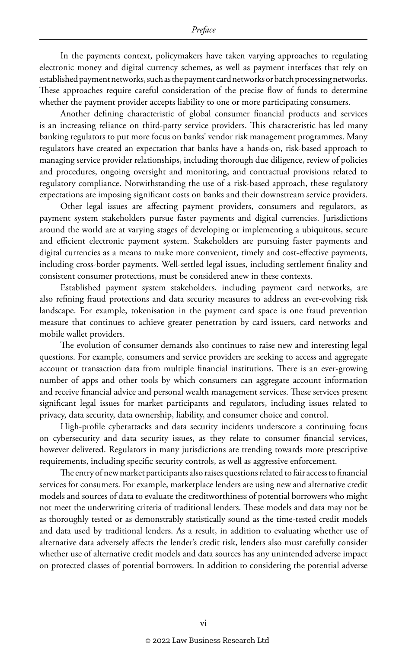In the payments context, policymakers have taken varying approaches to regulating electronic money and digital currency schemes, as well as payment interfaces that rely on established payment networks, such as the payment card networks or batch processing networks. These approaches require careful consideration of the precise flow of funds to determine whether the payment provider accepts liability to one or more participating consumers.

Another defining characteristic of global consumer financial products and services is an increasing reliance on third-party service providers. This characteristic has led many banking regulators to put more focus on banks' vendor risk management programmes. Many regulators have created an expectation that banks have a hands-on, risk-based approach to managing service provider relationships, including thorough due diligence, review of policies and procedures, ongoing oversight and monitoring, and contractual provisions related to regulatory compliance. Notwithstanding the use of a risk-based approach, these regulatory expectations are imposing significant costs on banks and their downstream service providers.

Other legal issues are affecting payment providers, consumers and regulators, as payment system stakeholders pursue faster payments and digital currencies. Jurisdictions around the world are at varying stages of developing or implementing a ubiquitous, secure and efficient electronic payment system. Stakeholders are pursuing faster payments and digital currencies as a means to make more convenient, timely and cost-effective payments, including cross-border payments. Well-settled legal issues, including settlement finality and consistent consumer protections, must be considered anew in these contexts.

Established payment system stakeholders, including payment card networks, are also refining fraud protections and data security measures to address an ever-evolving risk landscape. For example, tokenisation in the payment card space is one fraud prevention measure that continues to achieve greater penetration by card issuers, card networks and mobile wallet providers.

The evolution of consumer demands also continues to raise new and interesting legal questions. For example, consumers and service providers are seeking to access and aggregate account or transaction data from multiple financial institutions. There is an ever-growing number of apps and other tools by which consumers can aggregate account information and receive financial advice and personal wealth management services. These services present significant legal issues for market participants and regulators, including issues related to privacy, data security, data ownership, liability, and consumer choice and control.

High-profile cyberattacks and data security incidents underscore a continuing focus on cybersecurity and data security issues, as they relate to consumer financial services, however delivered. Regulators in many jurisdictions are trending towards more prescriptive requirements, including specific security controls, as well as aggressive enforcement.

The entry of new market participants also raises questions related to fair access to financial services for consumers. For example, marketplace lenders are using new and alternative credit models and sources of data to evaluate the creditworthiness of potential borrowers who might not meet the underwriting criteria of traditional lenders. These models and data may not be as thoroughly tested or as demonstrably statistically sound as the time-tested credit models and data used by traditional lenders. As a result, in addition to evaluating whether use of alternative data adversely affects the lender's credit risk, lenders also must carefully consider whether use of alternative credit models and data sources has any unintended adverse impact on protected classes of potential borrowers. In addition to considering the potential adverse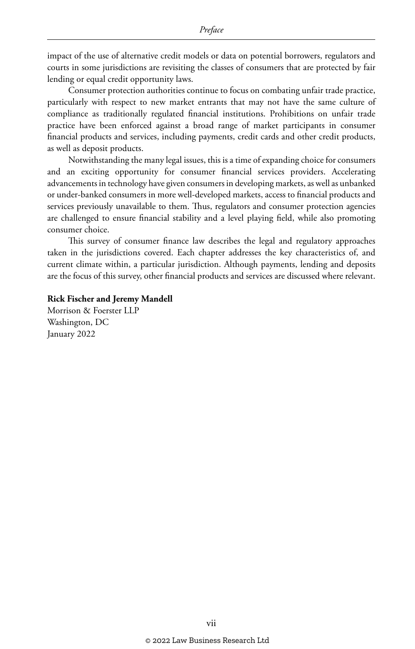impact of the use of alternative credit models or data on potential borrowers, regulators and courts in some jurisdictions are revisiting the classes of consumers that are protected by fair lending or equal credit opportunity laws.

Consumer protection authorities continue to focus on combating unfair trade practice, particularly with respect to new market entrants that may not have the same culture of compliance as traditionally regulated financial institutions. Prohibitions on unfair trade practice have been enforced against a broad range of market participants in consumer financial products and services, including payments, credit cards and other credit products, as well as deposit products.

Notwithstanding the many legal issues, this is a time of expanding choice for consumers and an exciting opportunity for consumer financial services providers. Accelerating advancements in technology have given consumers in developing markets, as well as unbanked or under-banked consumers in more well-developed markets, access to financial products and services previously unavailable to them. Thus, regulators and consumer protection agencies are challenged to ensure financial stability and a level playing field, while also promoting consumer choice.

This survey of consumer finance law describes the legal and regulatory approaches taken in the jurisdictions covered. Each chapter addresses the key characteristics of, and current climate within, a particular jurisdiction. Although payments, lending and deposits are the focus of this survey, other financial products and services are discussed where relevant.

#### **Rick Fischer and Jeremy Mandell**

Morrison & Foerster LLP Washington, DC January 2022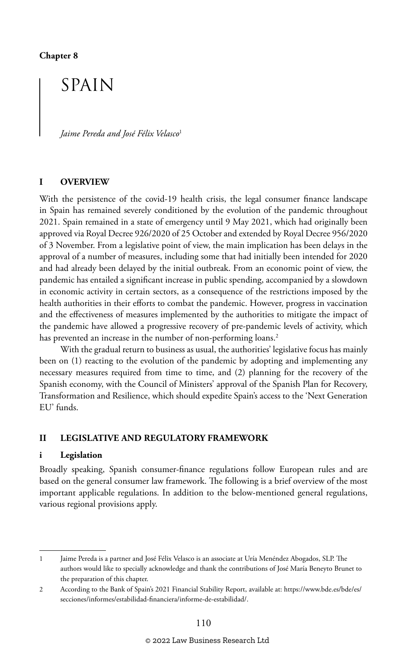### SPAIN

*Jaime Pereda and José Félix Velasco*<sup>1</sup>

#### **I OVERVIEW**

With the persistence of the covid-19 health crisis, the legal consumer finance landscape in Spain has remained severely conditioned by the evolution of the pandemic throughout 2021. Spain remained in a state of emergency until 9 May 2021, which had originally been approved via Royal Decree 926/2020 of 25 October and extended by Royal Decree 956/2020 of 3 November. From a legislative point of view, the main implication has been delays in the approval of a number of measures, including some that had initially been intended for 2020 and had already been delayed by the initial outbreak. From an economic point of view, the pandemic has entailed a significant increase in public spending, accompanied by a slowdown in economic activity in certain sectors, as a consequence of the restrictions imposed by the health authorities in their efforts to combat the pandemic. However, progress in vaccination and the effectiveness of measures implemented by the authorities to mitigate the impact of the pandemic have allowed a progressive recovery of pre-pandemic levels of activity, which has prevented an increase in the number of non-performing loans.<sup>2</sup>

With the gradual return to business as usual, the authorities' legislative focus has mainly been on (1) reacting to the evolution of the pandemic by adopting and implementing any necessary measures required from time to time, and (2) planning for the recovery of the Spanish economy, with the Council of Ministers' approval of the Spanish Plan for Recovery, Transformation and Resilience, which should expedite Spain's access to the 'Next Generation EU' funds.

#### **II LEGISLATIVE AND REGULATORY FRAMEWORK**

#### **i Legislation**

Broadly speaking, Spanish consumer-finance regulations follow European rules and are based on the general consumer law framework. The following is a brief overview of the most important applicable regulations. In addition to the below-mentioned general regulations, various regional provisions apply.

<sup>1</sup> Jaime Pereda is a partner and José Félix Velasco is an associate at Uría Menéndez Abogados, SLP. The authors would like to specially acknowledge and thank the contributions of José María Beneyto Brunet to the preparation of this chapter.

<sup>2</sup> According to the Bank of Spain's 2021 Financial Stability Report, available at: https://www.bde.es/bde/es/ secciones/informes/estabilidad-financiera/informe-de-estabilidad/.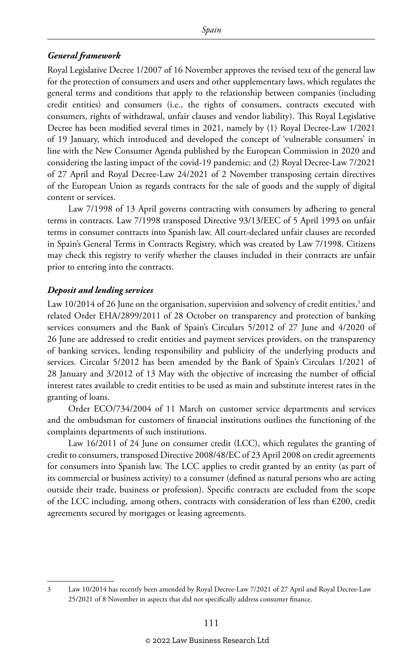#### *General framework*

Royal Legislative Decree 1/2007 of 16 November approves the revised text of the general law for the protection of consumers and users and other supplementary laws, which regulates the general terms and conditions that apply to the relationship between companies (including credit entities) and consumers (i.e., the rights of consumers, contracts executed with consumers, rights of withdrawal, unfair clauses and vendor liability). This Royal Legislative Decree has been modified several times in 2021, namely by (1) Royal Decree-Law 1/2021 of 19 January, which introduced and developed the concept of 'vulnerable consumers' in line with the New Consumer Agenda published by the European Commission in 2020 and considering the lasting impact of the covid-19 pandemic; and (2) Royal Decree-Law 7/2021 of 27 April and Royal Decree-Law 24/2021 of 2 November transposing certain directives of the European Union as regards contracts for the sale of goods and the supply of digital content or services.

Law 7/1998 of 13 April governs contracting with consumers by adhering to general terms in contracts. Law 7/1998 transposed Directive 93/13/EEC of 5 April 1993 on unfair terms in consumer contracts into Spanish law. All court-declared unfair clauses are recorded in Spain's General Terms in Contracts Registry, which was created by Law 7/1998. Citizens may check this registry to verify whether the clauses included in their contracts are unfair prior to entering into the contracts.

#### *Deposit and lending services*

Law 10/2014 of 26 June on the organisation, supervision and solvency of credit entities, $^{\rm 3}$  and related Order EHA/2899/2011 of 28 October on transparency and protection of banking services consumers and the Bank of Spain's Circulars 5/2012 of 27 June and 4/2020 of 26 June are addressed to credit entities and payment services providers, on the transparency of banking services, lending responsibility and publicity of the underlying products and services. Circular 5/2012 has been amended by the Bank of Spain's Circulars 1/2021 of 28 January and 3/2012 of 13 May with the objective of increasing the number of official interest rates available to credit entities to be used as main and substitute interest rates in the granting of loans.

Order ECO/734/2004 of 11 March on customer service departments and services and the ombudsman for customers of financial institutions outlines the functioning of the complaints departments of such institutions.

Law 16/2011 of 24 June on consumer credit (LCC), which regulates the granting of credit to consumers, transposed Directive 2008/48/EC of 23 April 2008 on credit agreements for consumers into Spanish law. The LCC applies to credit granted by an entity (as part of its commercial or business activity) to a consumer (defined as natural persons who are acting outside their trade, business or profession). Specific contracts are excluded from the scope of the LCC including, among others, contracts with consideration of less than €200, credit agreements secured by mortgages or leasing agreements.

<sup>3</sup> Law 10/2014 has recently been amended by Royal Decree-Law 7/2021 of 27 April and Royal Decree-Law 25/2021 of 8 November in aspects that did not specifically address consumer finance.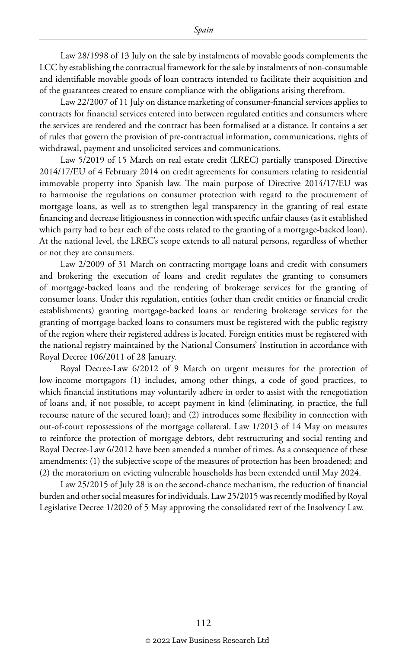Law 28/1998 of 13 July on the sale by instalments of movable goods complements the LCC by establishing the contractual framework for the sale by instalments of non-consumable and identifiable movable goods of loan contracts intended to facilitate their acquisition and of the guarantees created to ensure compliance with the obligations arising therefrom.

Law 22/2007 of 11 July on distance marketing of consumer-financial services applies to contracts for financial services entered into between regulated entities and consumers where the services are rendered and the contract has been formalised at a distance. It contains a set of rules that govern the provision of pre-contractual information, communications, rights of withdrawal, payment and unsolicited services and communications.

Law 5/2019 of 15 March on real estate credit (LREC) partially transposed Directive 2014/17/EU of 4 February 2014 on credit agreements for consumers relating to residential immovable property into Spanish law. The main purpose of Directive 2014/17/EU was to harmonise the regulations on consumer protection with regard to the procurement of mortgage loans, as well as to strengthen legal transparency in the granting of real estate financing and decrease litigiousness in connection with specific unfair clauses (as it established which party had to bear each of the costs related to the granting of a mortgage-backed loan). At the national level, the LREC's scope extends to all natural persons, regardless of whether or not they are consumers.

Law 2/2009 of 31 March on contracting mortgage loans and credit with consumers and brokering the execution of loans and credit regulates the granting to consumers of mortgage-backed loans and the rendering of brokerage services for the granting of consumer loans. Under this regulation, entities (other than credit entities or financial credit establishments) granting mortgage-backed loans or rendering brokerage services for the granting of mortgage-backed loans to consumers must be registered with the public registry of the region where their registered address is located. Foreign entities must be registered with the national registry maintained by the National Consumers' Institution in accordance with Royal Decree 106/2011 of 28 January.

Royal Decree-Law 6/2012 of 9 March on urgent measures for the protection of low-income mortgagors (1) includes, among other things, a code of good practices, to which financial institutions may voluntarily adhere in order to assist with the renegotiation of loans and, if not possible, to accept payment in kind (eliminating, in practice, the full recourse nature of the secured loan); and (2) introduces some flexibility in connection with out-of-court repossessions of the mortgage collateral. Law 1/2013 of 14 May on measures to reinforce the protection of mortgage debtors, debt restructuring and social renting and Royal Decree-Law 6/2012 have been amended a number of times. As a consequence of these amendments: (1) the subjective scope of the measures of protection has been broadened; and (2) the moratorium on evicting vulnerable households has been extended until May 2024.

Law 25/2015 of July 28 is on the second-chance mechanism, the reduction of financial burden and other social measures for individuals. Law 25/2015 was recently modified by Royal Legislative Decree 1/2020 of 5 May approving the consolidated text of the Insolvency Law.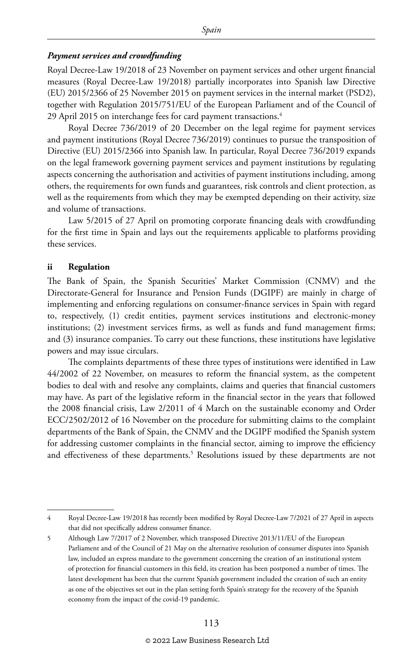#### *Payment services and crowdfunding*

Royal Decree-Law 19/2018 of 23 November on payment services and other urgent financial measures (Royal Decree-Law 19/2018) partially incorporates into Spanish law Directive (EU) 2015/2366 of 25 November 2015 on payment services in the internal market (PSD2), together with Regulation 2015/751/EU of the European Parliament and of the Council of 29 April 2015 on interchange fees for card payment transactions.<sup>4</sup>

Royal Decree 736/2019 of 20 December on the legal regime for payment services and payment institutions (Royal Decree 736/2019) continues to pursue the transposition of Directive (EU) 2015/2366 into Spanish law. In particular, Royal Decree 736/2019 expands on the legal framework governing payment services and payment institutions by regulating aspects concerning the authorisation and activities of payment institutions including, among others, the requirements for own funds and guarantees, risk controls and client protection, as well as the requirements from which they may be exempted depending on their activity, size and volume of transactions.

Law 5/2015 of 27 April on promoting corporate financing deals with crowdfunding for the first time in Spain and lays out the requirements applicable to platforms providing these services.

#### **ii Regulation**

The Bank of Spain, the Spanish Securities' Market Commission (CNMV) and the Directorate-General for Insurance and Pension Funds (DGIPF) are mainly in charge of implementing and enforcing regulations on consumer-finance services in Spain with regard to, respectively, (1) credit entities, payment services institutions and electronic-money institutions; (2) investment services firms, as well as funds and fund management firms; and (3) insurance companies. To carry out these functions, these institutions have legislative powers and may issue circulars.

The complaints departments of these three types of institutions were identified in Law 44/2002 of 22 November, on measures to reform the financial system, as the competent bodies to deal with and resolve any complaints, claims and queries that financial customers may have. As part of the legislative reform in the financial sector in the years that followed the 2008 financial crisis, Law 2/2011 of 4 March on the sustainable economy and Order ECC/2502/2012 of 16 November on the procedure for submitting claims to the complaint departments of the Bank of Spain, the CNMV and the DGIPF modified the Spanish system for addressing customer complaints in the financial sector, aiming to improve the efficiency and effectiveness of these departments.<sup>5</sup> Resolutions issued by these departments are not

<sup>4</sup> Royal Decree-Law 19/2018 has recently been modified by Royal Decree-Law 7/2021 of 27 April in aspects that did not specifically address consumer finance.

<sup>5</sup> Although Law 7/2017 of 2 November, which transposed Directive 2013/11/EU of the European Parliament and of the Council of 21 May on the alternative resolution of consumer disputes into Spanish law, included an express mandate to the government concerning the creation of an institutional system of protection for financial customers in this field, its creation has been postponed a number of times. The latest development has been that the current Spanish government included the creation of such an entity as one of the objectives set out in the plan setting forth Spain's strategy for the recovery of the Spanish economy from the impact of the covid-19 pandemic.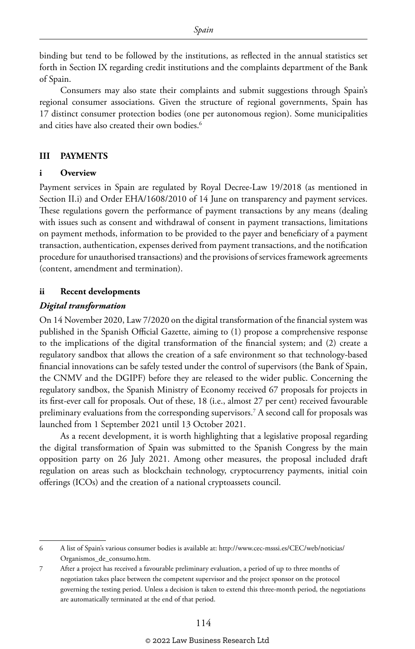binding but tend to be followed by the institutions, as reflected in the annual statistics set forth in Section IX regarding credit institutions and the complaints department of the Bank of Spain.

Consumers may also state their complaints and submit suggestions through Spain's regional consumer associations. Given the structure of regional governments, Spain has 17 distinct consumer protection bodies (one per autonomous region). Some municipalities and cities have also created their own bodies.<sup>6</sup>

#### **III PAYMENTS**

#### **i Overview**

Payment services in Spain are regulated by Royal Decree-Law 19/2018 (as mentioned in Section II.i) and Order EHA/1608/2010 of 14 June on transparency and payment services. These regulations govern the performance of payment transactions by any means (dealing with issues such as consent and withdrawal of consent in payment transactions, limitations on payment methods, information to be provided to the payer and beneficiary of a payment transaction, authentication, expenses derived from payment transactions, and the notification procedure for unauthorised transactions) and the provisions of services framework agreements (content, amendment and termination).

#### **ii Recent developments**

#### *Digital transformation*

On 14 November 2020, Law 7/2020 on the digital transformation of the financial system was published in the Spanish Official Gazette, aiming to (1) propose a comprehensive response to the implications of the digital transformation of the financial system; and (2) create a regulatory sandbox that allows the creation of a safe environment so that technology-based financial innovations can be safely tested under the control of supervisors (the Bank of Spain, the CNMV and the DGIPF) before they are released to the wider public. Concerning the regulatory sandbox, the Spanish Ministry of Economy received 67 proposals for projects in its first-ever call for proposals. Out of these, 18 (i.e., almost 27 per cent) received favourable preliminary evaluations from the corresponding supervisors.7 A second call for proposals was launched from 1 September 2021 until 13 October 2021.

As a recent development, it is worth highlighting that a legislative proposal regarding the digital transformation of Spain was submitted to the Spanish Congress by the main opposition party on 26 July 2021. Among other measures, the proposal included draft regulation on areas such as blockchain technology, cryptocurrency payments, initial coin offerings (ICOs) and the creation of a national cryptoassets council.

<sup>6</sup> A list of Spain's various consumer bodies is available at: http://www.cec-msssi.es/CEC/web/noticias/ Organismos\_de\_consumo.htm.

<sup>7</sup> After a project has received a favourable preliminary evaluation, a period of up to three months of negotiation takes place between the competent supervisor and the project sponsor on the protocol governing the testing period. Unless a decision is taken to extend this three-month period, the negotiations are automatically terminated at the end of that period.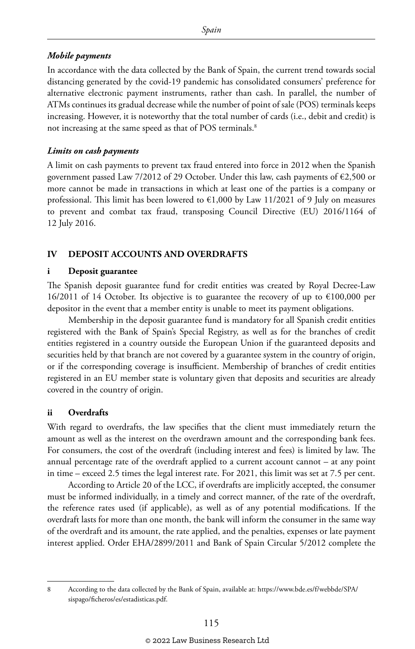#### *Mobile payments*

In accordance with the data collected by the Bank of Spain, the current trend towards social distancing generated by the covid-19 pandemic has consolidated consumers' preference for alternative electronic payment instruments, rather than cash. In parallel, the number of ATMs continues its gradual decrease while the number of point of sale (POS) terminals keeps increasing. However, it is noteworthy that the total number of cards (i.e., debit and credit) is not increasing at the same speed as that of POS terminals.<sup>8</sup>

#### *Limits on cash payments*

A limit on cash payments to prevent tax fraud entered into force in 2012 when the Spanish government passed Law 7/2012 of 29 October. Under this law, cash payments of €2,500 or more cannot be made in transactions in which at least one of the parties is a company or professional. This limit has been lowered to  $\epsilon$ 1,000 by Law 11/2021 of 9 July on measures to prevent and combat tax fraud, transposing Council Directive (EU) 2016/1164 of 12 July 2016.

#### **IV DEPOSIT ACCOUNTS AND OVERDRAFTS**

#### **i Deposit guarantee**

The Spanish deposit guarantee fund for credit entities was created by Royal Decree-Law 16/2011 of 14 October. Its objective is to guarantee the recovery of up to  $\epsilon$ 100,000 per depositor in the event that a member entity is unable to meet its payment obligations.

Membership in the deposit guarantee fund is mandatory for all Spanish credit entities registered with the Bank of Spain's Special Registry, as well as for the branches of credit entities registered in a country outside the European Union if the guaranteed deposits and securities held by that branch are not covered by a guarantee system in the country of origin, or if the corresponding coverage is insufficient. Membership of branches of credit entities registered in an EU member state is voluntary given that deposits and securities are already covered in the country of origin.

#### **ii Overdrafts**

With regard to overdrafts, the law specifies that the client must immediately return the amount as well as the interest on the overdrawn amount and the corresponding bank fees. For consumers, the cost of the overdraft (including interest and fees) is limited by law. The annual percentage rate of the overdraft applied to a current account cannot – at any point in time – exceed 2.5 times the legal interest rate. For 2021, this limit was set at 7.5 per cent.

According to Article 20 of the LCC, if overdrafts are implicitly accepted, the consumer must be informed individually, in a timely and correct manner, of the rate of the overdraft, the reference rates used (if applicable), as well as of any potential modifications. If the overdraft lasts for more than one month, the bank will inform the consumer in the same way of the overdraft and its amount, the rate applied, and the penalties, expenses or late payment interest applied. Order EHA/2899/2011 and Bank of Spain Circular 5/2012 complete the

<sup>8</sup> According to the data collected by the Bank of Spain, available at: https://www.bde.es/f/webbde/SPA/ sispago/ficheros/es/estadisticas.pdf.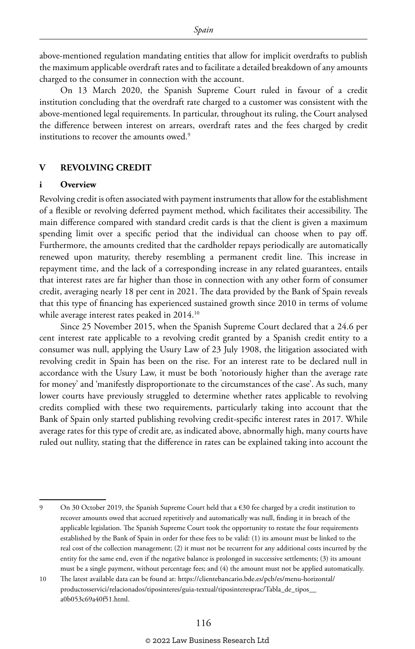above-mentioned regulation mandating entities that allow for implicit overdrafts to publish the maximum applicable overdraft rates and to facilitate a detailed breakdown of any amounts charged to the consumer in connection with the account.

On 13 March 2020, the Spanish Supreme Court ruled in favour of a credit institution concluding that the overdraft rate charged to a customer was consistent with the above-mentioned legal requirements. In particular, throughout its ruling, the Court analysed the difference between interest on arrears, overdraft rates and the fees charged by credit institutions to recover the amounts owed.<sup>9</sup>

#### **V REVOLVING CREDIT**

#### **i Overview**

Revolving credit is often associated with payment instruments that allow for the establishment of a flexible or revolving deferred payment method, which facilitates their accessibility. The main difference compared with standard credit cards is that the client is given a maximum spending limit over a specific period that the individual can choose when to pay off. Furthermore, the amounts credited that the cardholder repays periodically are automatically renewed upon maturity, thereby resembling a permanent credit line. This increase in repayment time, and the lack of a corresponding increase in any related guarantees, entails that interest rates are far higher than those in connection with any other form of consumer credit, averaging nearly 18 per cent in 2021. The data provided by the Bank of Spain reveals that this type of financing has experienced sustained growth since 2010 in terms of volume while average interest rates peaked in 2014.10

Since 25 November 2015, when the Spanish Supreme Court declared that a 24.6 per cent interest rate applicable to a revolving credit granted by a Spanish credit entity to a consumer was null, applying the Usury Law of 23 July 1908, the litigation associated with revolving credit in Spain has been on the rise. For an interest rate to be declared null in accordance with the Usury Law, it must be both 'notoriously higher than the average rate for money' and 'manifestly disproportionate to the circumstances of the case'. As such, many lower courts have previously struggled to determine whether rates applicable to revolving credits complied with these two requirements, particularly taking into account that the Bank of Spain only started publishing revolving credit-specific interest rates in 2017. While average rates for this type of credit are, as indicated above, abnormally high, many courts have ruled out nullity, stating that the difference in rates can be explained taking into account the

<sup>9</sup> On 30 October 2019, the Spanish Supreme Court held that a €30 fee charged by a credit institution to recover amounts owed that accrued repetitively and automatically was null, finding it in breach of the applicable legislation. The Spanish Supreme Court took the opportunity to restate the four requirements established by the Bank of Spain in order for these fees to be valid: (1) its amount must be linked to the real cost of the collection management; (2) it must not be recurrent for any additional costs incurred by the entity for the same end, even if the negative balance is prolonged in successive settlements; (3) its amount must be a single payment, without percentage fees; and (4) the amount must not be applied automatically.

<sup>10</sup> The latest available data can be found at: https://clientebancario.bde.es/pcb/es/menu-horizontal/ productosservici/relacionados/tiposinteres/guia-textual/tiposinteresprac/Tabla\_de\_tipos\_\_ a0b053c69a40f51.html.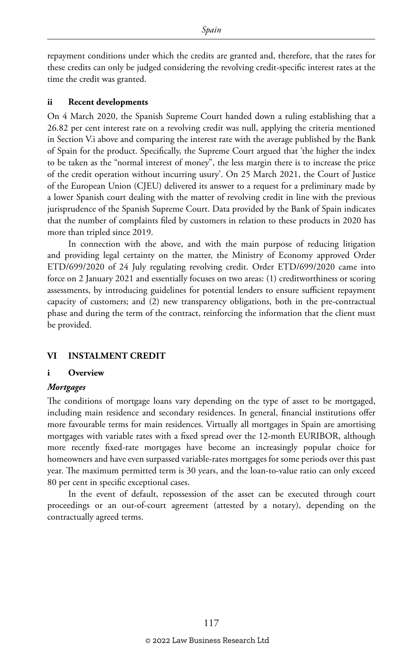repayment conditions under which the credits are granted and, therefore, that the rates for these credits can only be judged considering the revolving credit-specific interest rates at the time the credit was granted.

#### **ii Recent developments**

On 4 March 2020, the Spanish Supreme Court handed down a ruling establishing that a 26.82 per cent interest rate on a revolving credit was null, applying the criteria mentioned in Section V.i above and comparing the interest rate with the average published by the Bank of Spain for the product. Specifically, the Supreme Court argued that 'the higher the index to be taken as the "normal interest of money", the less margin there is to increase the price of the credit operation without incurring usury'. On 25 March 2021, the Court of Justice of the European Union (CJEU) delivered its answer to a request for a preliminary made by a lower Spanish court dealing with the matter of revolving credit in line with the previous jurisprudence of the Spanish Supreme Court. Data provided by the Bank of Spain indicates that the number of complaints filed by customers in relation to these products in 2020 has more than tripled since 2019.

In connection with the above, and with the main purpose of reducing litigation and providing legal certainty on the matter, the Ministry of Economy approved Order ETD/699/2020 of 24 July regulating revolving credit. Order ETD/699/2020 came into force on 2 January 2021 and essentially focuses on two areas: (1) creditworthiness or scoring assessments, by introducing guidelines for potential lenders to ensure sufficient repayment capacity of customers; and (2) new transparency obligations, both in the pre-contractual phase and during the term of the contract, reinforcing the information that the client must be provided.

#### **VI INSTALMENT CREDIT**

#### **i Overview**

#### *Mortgages*

The conditions of mortgage loans vary depending on the type of asset to be mortgaged, including main residence and secondary residences. In general, financial institutions offer more favourable terms for main residences. Virtually all mortgages in Spain are amortising mortgages with variable rates with a fixed spread over the 12-month EURIBOR, although more recently fixed-rate mortgages have become an increasingly popular choice for homeowners and have even surpassed variable-rates mortgages for some periods over this past year. The maximum permitted term is 30 years, and the loan-to-value ratio can only exceed 80 per cent in specific exceptional cases.

In the event of default, repossession of the asset can be executed through court proceedings or an out-of-court agreement (attested by a notary), depending on the contractually agreed terms.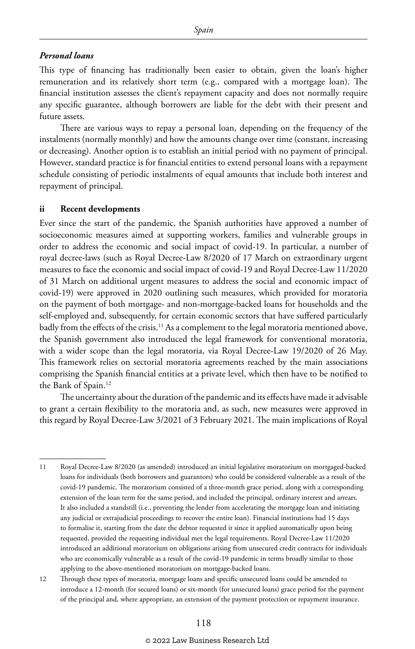#### *Personal loans*

This type of financing has traditionally been easier to obtain, given the loan's higher remuneration and its relatively short term (e.g., compared with a mortgage loan). The financial institution assesses the client's repayment capacity and does not normally require any specific guarantee, although borrowers are liable for the debt with their present and future assets.

There are various ways to repay a personal loan, depending on the frequency of the instalments (normally monthly) and how the amounts change over time (constant, increasing or decreasing). Another option is to establish an initial period with no payment of principal. However, standard practice is for financial entities to extend personal loans with a repayment schedule consisting of periodic instalments of equal amounts that include both interest and repayment of principal.

#### **ii Recent developments**

Ever since the start of the pandemic, the Spanish authorities have approved a number of socioeconomic measures aimed at supporting workers, families and vulnerable groups in order to address the economic and social impact of covid-19. In particular, a number of royal decree-laws (such as Royal Decree-Law 8/2020 of 17 March on extraordinary urgent measures to face the economic and social impact of covid-19 and Royal Decree-Law 11/2020 of 31 March on additional urgent measures to address the social and economic impact of covid-19) were approved in 2020 outlining such measures, which provided for moratoria on the payment of both mortgage- and non-mortgage-backed loans for households and the self-employed and, subsequently, for certain economic sectors that have suffered particularly badly from the effects of the crisis.<sup>11</sup> As a complement to the legal moratoria mentioned above, the Spanish government also introduced the legal framework for conventional moratoria, with a wider scope than the legal moratoria, via Royal Decree-Law 19/2020 of 26 May. This framework relies on sectorial moratoria agreements reached by the main associations comprising the Spanish financial entities at a private level, which then have to be notified to the Bank of Spain.12

The uncertainty about the duration of the pandemic and its effects have made it advisable to grant a certain flexibility to the moratoria and, as such, new measures were approved in this regard by Royal Decree-Law 3/2021 of 3 February 2021. The main implications of Royal

12 Through these types of moratoria, mortgage loans and specific unsecured loans could be amended to introduce a 12-month (for secured loans) or six-month (for unsecured loans) grace period for the payment of the principal and, where appropriate, an extension of the payment protection or repayment insurance.

<sup>11</sup> Royal Decree-Law 8/2020 (as amended) introduced an initial legislative moratorium on mortgaged-backed loans for individuals (both borrowers and guarantors) who could be considered vulnerable as a result of the covid-19 pandemic. The moratorium consisted of a three-month grace period, along with a corresponding extension of the loan term for the same period, and included the principal, ordinary interest and arrears. It also included a standstill (i.e., preventing the lender from accelerating the mortgage loan and initiating any judicial or extrajudicial proceedings to recover the entire loan). Financial institutions had 15 days to formalise it, starting from the date the debtor requested it since it applied automatically upon being requested, provided the requesting individual met the legal requirements. Royal Decree-Law 11/2020 introduced an additional moratorium on obligations arising from unsecured credit contracts for individuals who are economically vulnerable as a result of the covid-19 pandemic in terms broadly similar to those applying to the above-mentioned moratorium on mortgage-backed loans.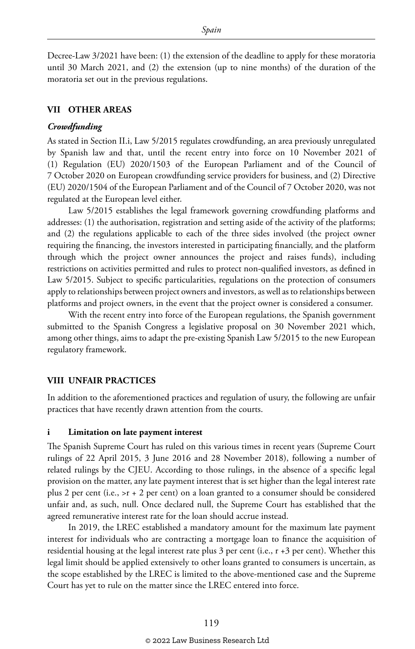Decree-Law 3/2021 have been: (1) the extension of the deadline to apply for these moratoria until 30 March 2021, and (2) the extension (up to nine months) of the duration of the moratoria set out in the previous regulations.

#### **VII OTHER AREAS**

#### *Crowdfunding*

As stated in Section II.i, Law 5/2015 regulates crowdfunding, an area previously unregulated by Spanish law and that, until the recent entry into force on 10 November 2021 of (1) Regulation (EU) 2020/1503 of the European Parliament and of the Council of 7 October 2020 on European crowdfunding service providers for business, and (2) Directive (EU) 2020/1504 of the European Parliament and of the Council of 7 October 2020, was not regulated at the European level either.

Law 5/2015 establishes the legal framework governing crowdfunding platforms and addresses: (1) the authorisation, registration and setting aside of the activity of the platforms; and (2) the regulations applicable to each of the three sides involved (the project owner requiring the financing, the investors interested in participating financially, and the platform through which the project owner announces the project and raises funds), including restrictions on activities permitted and rules to protect non-qualified investors, as defined in Law 5/2015. Subject to specific particularities, regulations on the protection of consumers apply to relationships between project owners and investors, as well as to relationships between platforms and project owners, in the event that the project owner is considered a consumer.

With the recent entry into force of the European regulations, the Spanish government submitted to the Spanish Congress a legislative proposal on 30 November 2021 which, among other things, aims to adapt the pre-existing Spanish Law 5/2015 to the new European regulatory framework.

#### **VIII UNFAIR PRACTICES**

In addition to the aforementioned practices and regulation of usury, the following are unfair practices that have recently drawn attention from the courts.

#### **i Limitation on late payment interest**

The Spanish Supreme Court has ruled on this various times in recent years (Supreme Court rulings of 22 April 2015, 3 June 2016 and 28 November 2018), following a number of related rulings by the CJEU. According to those rulings, in the absence of a specific legal provision on the matter, any late payment interest that is set higher than the legal interest rate plus 2 per cent (i.e., >r + 2 per cent) on a loan granted to a consumer should be considered unfair and, as such, null. Once declared null, the Supreme Court has established that the agreed remunerative interest rate for the loan should accrue instead.

In 2019, the LREC established a mandatory amount for the maximum late payment interest for individuals who are contracting a mortgage loan to finance the acquisition of residential housing at the legal interest rate plus 3 per cent (i.e., r +3 per cent). Whether this legal limit should be applied extensively to other loans granted to consumers is uncertain, as the scope established by the LREC is limited to the above-mentioned case and the Supreme Court has yet to rule on the matter since the LREC entered into force.

#### © 2022 Law Business Research Ltd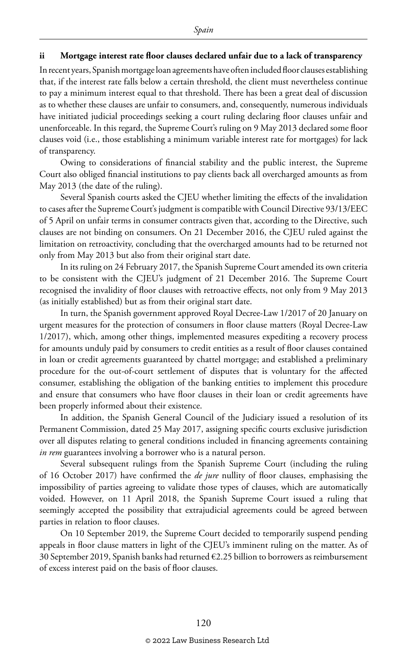#### **ii Mortgage interest rate floor clauses declared unfair due to a lack of transparency**

In recent years, Spanish mortgage loan agreements have often included floor clauses establishing that, if the interest rate falls below a certain threshold, the client must nevertheless continue to pay a minimum interest equal to that threshold. There has been a great deal of discussion as to whether these clauses are unfair to consumers, and, consequently, numerous individuals have initiated judicial proceedings seeking a court ruling declaring floor clauses unfair and unenforceable. In this regard, the Supreme Court's ruling on 9 May 2013 declared some floor clauses void (i.e., those establishing a minimum variable interest rate for mortgages) for lack of transparency.

Owing to considerations of financial stability and the public interest, the Supreme Court also obliged financial institutions to pay clients back all overcharged amounts as from May 2013 (the date of the ruling).

Several Spanish courts asked the CJEU whether limiting the effects of the invalidation to cases after the Supreme Court's judgment is compatible with Council Directive 93/13/EEC of 5 April on unfair terms in consumer contracts given that, according to the Directive, such clauses are not binding on consumers. On 21 December 2016, the CJEU ruled against the limitation on retroactivity, concluding that the overcharged amounts had to be returned not only from May 2013 but also from their original start date.

In its ruling on 24 February 2017, the Spanish Supreme Court amended its own criteria to be consistent with the CJEU's judgment of 21 December 2016. The Supreme Court recognised the invalidity of floor clauses with retroactive effects, not only from 9 May 2013 (as initially established) but as from their original start date.

In turn, the Spanish government approved Royal Decree-Law 1/2017 of 20 January on urgent measures for the protection of consumers in floor clause matters (Royal Decree-Law 1/2017), which, among other things, implemented measures expediting a recovery process for amounts unduly paid by consumers to credit entities as a result of floor clauses contained in loan or credit agreements guaranteed by chattel mortgage; and established a preliminary procedure for the out-of-court settlement of disputes that is voluntary for the affected consumer, establishing the obligation of the banking entities to implement this procedure and ensure that consumers who have floor clauses in their loan or credit agreements have been properly informed about their existence.

In addition, the Spanish General Council of the Judiciary issued a resolution of its Permanent Commission, dated 25 May 2017, assigning specific courts exclusive jurisdiction over all disputes relating to general conditions included in financing agreements containing *in rem* guarantees involving a borrower who is a natural person.

Several subsequent rulings from the Spanish Supreme Court (including the ruling of 16 October 2017) have confirmed the *de jure* nullity of floor clauses, emphasising the impossibility of parties agreeing to validate those types of clauses, which are automatically voided. However, on 11 April 2018, the Spanish Supreme Court issued a ruling that seemingly accepted the possibility that extrajudicial agreements could be agreed between parties in relation to floor clauses.

On 10 September 2019, the Supreme Court decided to temporarily suspend pending appeals in floor clause matters in light of the CJEU's imminent ruling on the matter. As of 30 September 2019, Spanish banks had returned €2.25 billion to borrowers as reimbursement of excess interest paid on the basis of floor clauses.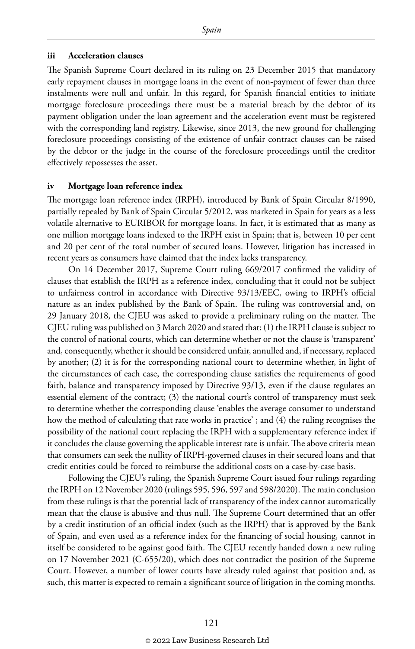#### **iii Acceleration clauses**

The Spanish Supreme Court declared in its ruling on 23 December 2015 that mandatory early repayment clauses in mortgage loans in the event of non-payment of fewer than three instalments were null and unfair. In this regard, for Spanish financial entities to initiate mortgage foreclosure proceedings there must be a material breach by the debtor of its payment obligation under the loan agreement and the acceleration event must be registered with the corresponding land registry. Likewise, since 2013, the new ground for challenging foreclosure proceedings consisting of the existence of unfair contract clauses can be raised by the debtor or the judge in the course of the foreclosure proceedings until the creditor effectively repossesses the asset.

#### **iv Mortgage loan reference index**

The mortgage loan reference index (IRPH), introduced by Bank of Spain Circular 8/1990, partially repealed by Bank of Spain Circular 5/2012, was marketed in Spain for years as a less volatile alternative to EURIBOR for mortgage loans. In fact, it is estimated that as many as one million mortgage loans indexed to the IRPH exist in Spain; that is, between 10 per cent and 20 per cent of the total number of secured loans. However, litigation has increased in recent years as consumers have claimed that the index lacks transparency.

On 14 December 2017, Supreme Court ruling 669/2017 confirmed the validity of clauses that establish the IRPH as a reference index, concluding that it could not be subject to unfairness control in accordance with Directive 93/13/EEC, owing to IRPH's official nature as an index published by the Bank of Spain. The ruling was controversial and, on 29 January 2018, the CJEU was asked to provide a preliminary ruling on the matter. The CJEU ruling was published on 3 March 2020 and stated that: (1) the IRPH clause is subject to the control of national courts, which can determine whether or not the clause is 'transparent' and, consequently, whether it should be considered unfair, annulled and, if necessary, replaced by another; (2) it is for the corresponding national court to determine whether, in light of the circumstances of each case, the corresponding clause satisfies the requirements of good faith, balance and transparency imposed by Directive 93/13, even if the clause regulates an essential element of the contract; (3) the national court's control of transparency must seek to determine whether the corresponding clause 'enables the average consumer to understand how the method of calculating that rate works in practice' ; and (4) the ruling recognises the possibility of the national court replacing the IRPH with a supplementary reference index if it concludes the clause governing the applicable interest rate is unfair. The above criteria mean that consumers can seek the nullity of IRPH-governed clauses in their secured loans and that credit entities could be forced to reimburse the additional costs on a case-by-case basis.

Following the CJEU's ruling, the Spanish Supreme Court issued four rulings regarding the IRPH on 12 November 2020 (rulings 595, 596, 597 and 598/2020). The main conclusion from these rulings is that the potential lack of transparency of the index cannot automatically mean that the clause is abusive and thus null. The Supreme Court determined that an offer by a credit institution of an official index (such as the IRPH) that is approved by the Bank of Spain, and even used as a reference index for the financing of social housing, cannot in itself be considered to be against good faith. The CJEU recently handed down a new ruling on 17 November 2021 (C-655/20), which does not contradict the position of the Supreme Court. However, a number of lower courts have already ruled against that position and, as such, this matter is expected to remain a significant source of litigation in the coming months.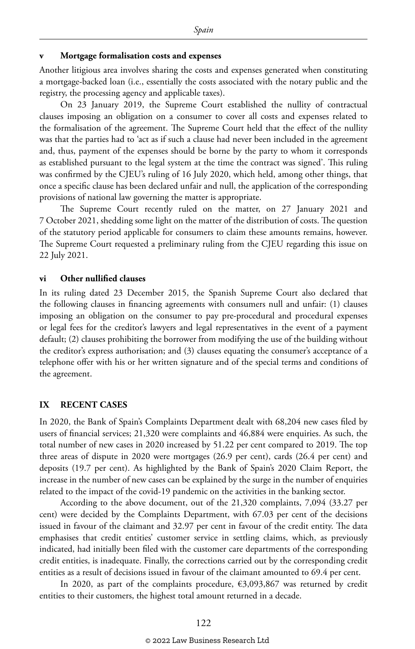#### **v Mortgage formalisation costs and expenses**

Another litigious area involves sharing the costs and expenses generated when constituting a mortgage-backed loan (i.e., essentially the costs associated with the notary public and the registry, the processing agency and applicable taxes).

On 23 January 2019, the Supreme Court established the nullity of contractual clauses imposing an obligation on a consumer to cover all costs and expenses related to the formalisation of the agreement. The Supreme Court held that the effect of the nullity was that the parties had to 'act as if such a clause had never been included in the agreement and, thus, payment of the expenses should be borne by the party to whom it corresponds as established pursuant to the legal system at the time the contract was signed'. This ruling was confirmed by the CJEU's ruling of 16 July 2020, which held, among other things, that once a specific clause has been declared unfair and null, the application of the corresponding provisions of national law governing the matter is appropriate.

The Supreme Court recently ruled on the matter, on 27 January 2021 and 7 October 2021, shedding some light on the matter of the distribution of costs. The question of the statutory period applicable for consumers to claim these amounts remains, however. The Supreme Court requested a preliminary ruling from the CJEU regarding this issue on 22 July 2021.

#### **vi Other nullified clauses**

In its ruling dated 23 December 2015, the Spanish Supreme Court also declared that the following clauses in financing agreements with consumers null and unfair: (1) clauses imposing an obligation on the consumer to pay pre-procedural and procedural expenses or legal fees for the creditor's lawyers and legal representatives in the event of a payment default; (2) clauses prohibiting the borrower from modifying the use of the building without the creditor's express authorisation; and (3) clauses equating the consumer's acceptance of a telephone offer with his or her written signature and of the special terms and conditions of the agreement.

#### **IX RECENT CASES**

In 2020, the Bank of Spain's Complaints Department dealt with 68,204 new cases filed by users of financial services; 21,320 were complaints and 46,884 were enquiries. As such, the total number of new cases in 2020 increased by 51.22 per cent compared to 2019. The top three areas of dispute in 2020 were mortgages (26.9 per cent), cards (26.4 per cent) and deposits (19.7 per cent). As highlighted by the Bank of Spain's 2020 Claim Report, the increase in the number of new cases can be explained by the surge in the number of enquiries related to the impact of the covid-19 pandemic on the activities in the banking sector.

According to the above document, out of the 21,320 complaints, 7,094 (33.27 per cent) were decided by the Complaints Department, with 67.03 per cent of the decisions issued in favour of the claimant and 32.97 per cent in favour of the credit entity. The data emphasises that credit entities' customer service in settling claims, which, as previously indicated, had initially been filed with the customer care departments of the corresponding credit entities, is inadequate. Finally, the corrections carried out by the corresponding credit entities as a result of decisions issued in favour of the claimant amounted to 69.4 per cent.

In 2020, as part of the complaints procedure,  $\epsilon$ 3,093,867 was returned by credit entities to their customers, the highest total amount returned in a decade.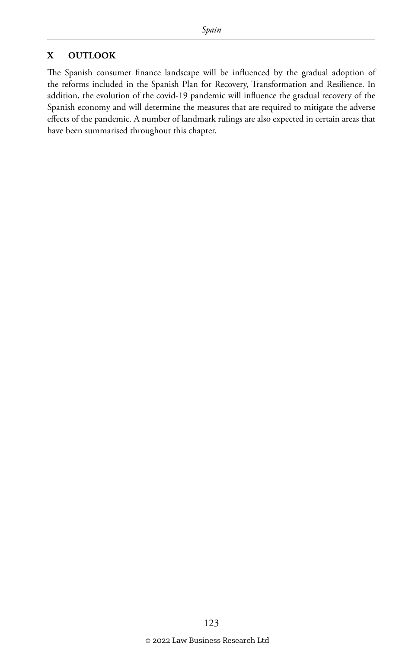#### **X OUTLOOK**

The Spanish consumer finance landscape will be influenced by the gradual adoption of the reforms included in the Spanish Plan for Recovery, Transformation and Resilience. In addition, the evolution of the covid-19 pandemic will influence the gradual recovery of the Spanish economy and will determine the measures that are required to mitigate the adverse effects of the pandemic. A number of landmark rulings are also expected in certain areas that have been summarised throughout this chapter.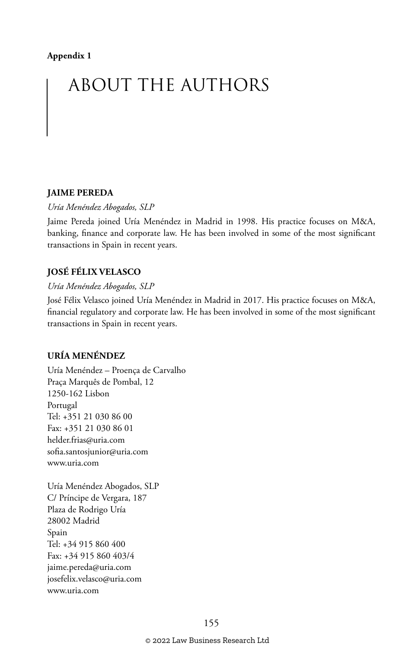#### **Appendix 1**

## ABOUT THE AUTHORS

#### **JAIME PEREDA**

*Uría Menéndez Abogados, SLP*

Jaime Pereda joined Uría Menéndez in Madrid in 1998. His practice focuses on M&A, banking, finance and corporate law. He has been involved in some of the most significant transactions in Spain in recent years.

#### **JOSÉ FÉLIX VELASCO**

#### *Uría Menéndez Abogados, SLP*

José Félix Velasco joined Uría Menéndez in Madrid in 2017. His practice focuses on M&A, financial regulatory and corporate law. He has been involved in some of the most significant transactions in Spain in recent years.

#### **URÍA MENÉNDEZ**

Uría Menéndez – Proença de Carvalho Praça Marquês de Pombal, 12 1250-162 Lisbon Portugal Tel: +351 21 030 86 00 Fax: +351 21 030 86 01 helder.frias@uria.com sofia.santosjunior@uria.com www.uria.com

Uría Menéndez Abogados, SLP C/ Príncipe de Vergara, 187 Plaza de Rodrigo Uría 28002 Madrid Spain Tel: +34 915 860 400 Fax: +34 915 860 403/4 jaime.pereda@uria.com josefelix.velasco@uria.com www.uria.com